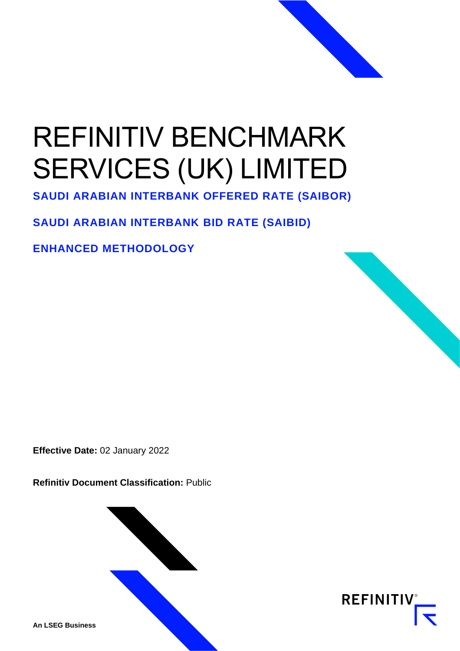# REFINITIV BENCHMARK SERVICES (UK) LIMITED

**SAUDI ARABIAN INTERBANK OFFERED RATE (SAIBOR)**

# **SAUDI ARABIAN INTERBANK BID RATE (SAIBID)**

**ENHANCED METHODOLOGY**

**Effective Date:** 02 January 2022

**Refinitiv Document Classification:** Public





**An LSEG Business**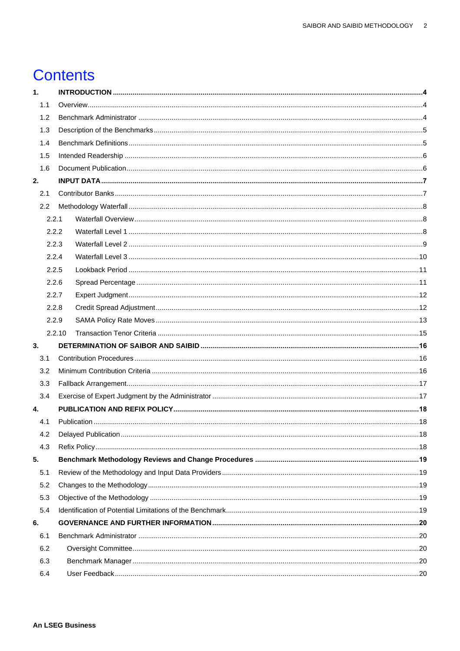# **Contents**

| 1.  |        |  |  |  |
|-----|--------|--|--|--|
| 1.1 |        |  |  |  |
| 1.2 |        |  |  |  |
| 1.3 |        |  |  |  |
| 1.4 |        |  |  |  |
| 1.5 |        |  |  |  |
| 1.6 |        |  |  |  |
| 2.  |        |  |  |  |
| 2.1 |        |  |  |  |
| 2.2 |        |  |  |  |
|     | 2.2.1  |  |  |  |
|     | 2.2.2  |  |  |  |
|     | 2.2.3  |  |  |  |
|     | 2.2.4  |  |  |  |
|     | 2.2.5  |  |  |  |
|     | 2.2.6  |  |  |  |
|     | 2.2.7  |  |  |  |
|     | 2.2.8  |  |  |  |
|     | 2.2.9  |  |  |  |
|     | 2.2.10 |  |  |  |
| 3.  |        |  |  |  |
| 3.1 |        |  |  |  |
| 3.2 |        |  |  |  |
| 3.3 |        |  |  |  |
| 3.4 |        |  |  |  |
| 4.  |        |  |  |  |
| 4.1 |        |  |  |  |
|     |        |  |  |  |
| 4.3 |        |  |  |  |
| 5.  |        |  |  |  |
| 5.1 |        |  |  |  |
| 5.2 |        |  |  |  |
| 5.3 |        |  |  |  |
| 5.4 |        |  |  |  |
| 6.  |        |  |  |  |
| 6.1 |        |  |  |  |
| 6.2 |        |  |  |  |
| 6.3 |        |  |  |  |
| 6.4 |        |  |  |  |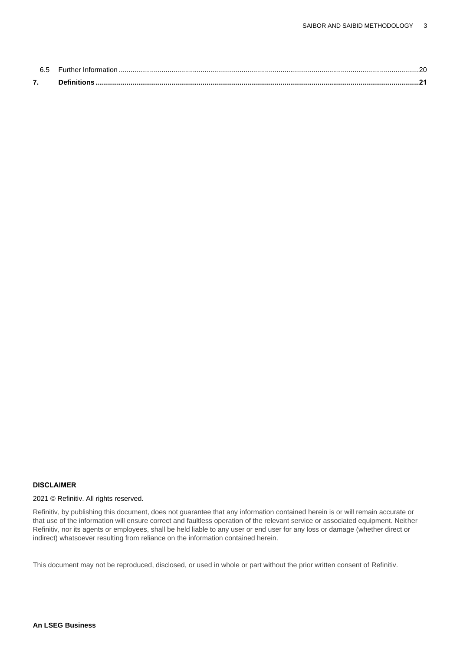| <u>Let</u> |  |
|------------|--|
| 7.         |  |

#### **DISCLAIMER**

#### 2021 © Refinitiv. All rights reserved.

Refinitiv, by publishing this document, does not guarantee that any information contained herein is or will remain accurate or that use of the information will ensure correct and faultless operation of the relevant service or associated equipment. Neither Refinitiv, nor its agents or employees, shall be held liable to any user or end user for any loss or damage (whether direct or indirect) whatsoever resulting from reliance on the information contained herein.

This document may not be reproduced, disclosed, or used in whole or part without the prior written consent of Refinitiv.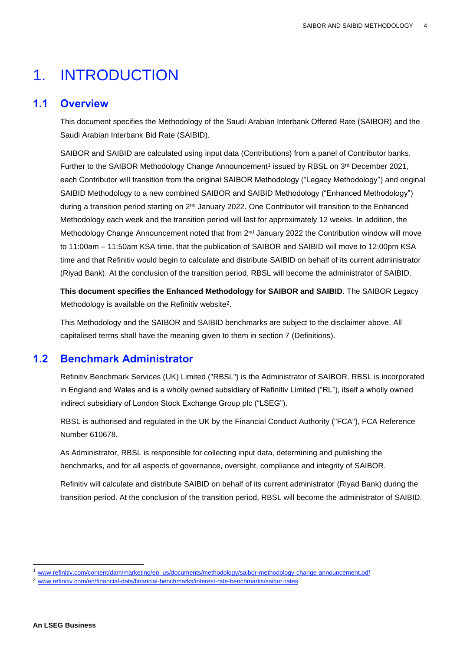# <span id="page-3-0"></span>1. INTRODUCTION

#### <span id="page-3-1"></span>**1.1 Overview**

This document specifies the Methodology of the Saudi Arabian Interbank Offered Rate (SAIBOR) and the Saudi Arabian Interbank Bid Rate (SAIBID).

SAIBOR and SAIBID are calculated using input data (Contributions) from a panel of Contributor banks. Further to the SAIBOR Methodology Change Announcement<sup>1</sup> issued by RBSL on 3<sup>rd</sup> December 2021, each Contributor will transition from the original SAIBOR Methodology ("Legacy Methodology") and original SAIBID Methodology to a new combined SAIBOR and SAIBID Methodology ("Enhanced Methodology") during a transition period starting on 2nd January 2022. One Contributor will transition to the Enhanced Methodology each week and the transition period will last for approximately 12 weeks. In addition, the Methodology Change Announcement noted that from 2<sup>nd</sup> January 2022 the Contribution window will move to 11:00am – 11:50am KSA time, that the publication of SAIBOR and SAIBID will move to 12:00pm KSA time and that Refinitiv would begin to calculate and distribute SAIBID on behalf of its current administrator (Riyad Bank). At the conclusion of the transition period, RBSL will become the administrator of SAIBID.

**This document specifies the Enhanced Methodology for SAIBOR and SAIBID**. The SAIBOR Legacy Methodology is available on the Refinitiv website<sup>2</sup>.

This Methodology and the SAIBOR and SAIBID benchmarks are subject to the disclaimer above. All capitalised terms shall have the meaning given to them in section 7 (Definitions).

# <span id="page-3-2"></span>**1.2 Benchmark Administrator**

Refinitiv Benchmark Services (UK) Limited ("RBSL") is the Administrator of SAIBOR. RBSL is incorporated in England and Wales and is a wholly owned subsidiary of Refinitiv Limited ("RL"), itself a wholly owned indirect subsidiary of London Stock Exchange Group plc ("LSEG").

RBSL is authorised and regulated in the UK by the Financial Conduct Authority ("FCA"), FCA Reference Number 610678.

As Administrator, RBSL is responsible for collecting input data, determining and publishing the benchmarks, and for all aspects of governance, oversight, compliance and integrity of SAIBOR.

Refinitiv will calculate and distribute SAIBID on behalf of its current administrator (Riyad Bank) during the transition period. At the conclusion of the transition period, RBSL will become the administrator of SAIBID.

<sup>1</sup> [www.refinitiv.com/content/dam/marketing/en\\_us/documents/methodology/saibor-methodology-change-announcement.pdf](http://www.refinitiv.com/content/dam/marketing/en_us/documents/methodology/saibor-methodology-change-announcement.pdf)

<sup>2</sup> [www.refinitiv.com/en/financial-data/financial-benchmarks/interest-rate-benchmarks/saibor-rates](http://www.refinitiv.com/en/financial-data/financial-benchmarks/interest-rate-benchmarks/saibor-rates)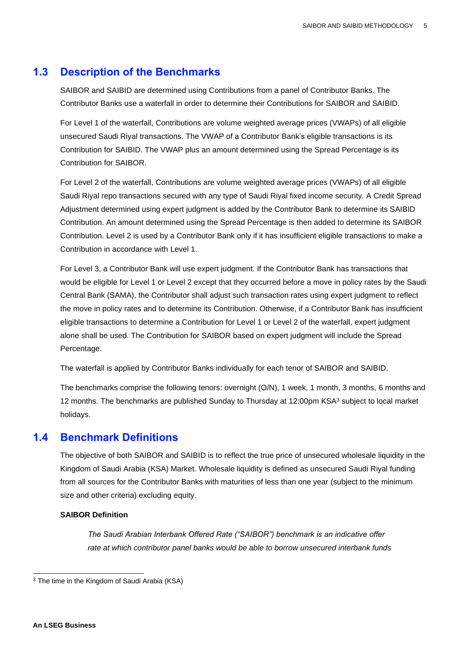#### <span id="page-4-0"></span>**1.3 Description of the Benchmarks**

SAIBOR and SAIBID are determined using Contributions from a panel of Contributor Banks. The Contributor Banks use a waterfall in order to determine their Contributions for SAIBOR and SAIBID.

For Level 1 of the waterfall, Contributions are volume weighted average prices (VWAPs) of all eligible unsecured Saudi Riyal transactions. The VWAP of a Contributor Bank's eligible transactions is its Contribution for SAIBID. The VWAP plus an amount determined using the Spread Percentage is its Contribution for SAIBOR.

For Level 2 of the waterfall, Contributions are volume weighted average prices (VWAPs) of all eligible Saudi Riyal repo transactions secured with any type of Saudi Riyal fixed income security. A Credit Spread Adjustment determined using expert judgment is added by the Contributor Bank to determine its SAIBID Contribution. An amount determined using the Spread Percentage is then added to determine its SAIBOR Contribution. Level 2 is used by a Contributor Bank only if it has insufficient eligible transactions to make a Contribution in accordance with Level 1.

For Level 3, a Contributor Bank will use expert judgment. If the Contributor Bank has transactions that would be eligible for Level 1 or Level 2 except that they occurred before a move in policy rates by the Saudi Central Bank (SAMA), the Contributor shall adjust such transaction rates using expert judgment to reflect the move in policy rates and to determine its Contribution. Otherwise, if a Contributor Bank has insufficient eligible transactions to determine a Contribution for Level 1 or Level 2 of the waterfall, expert judgment alone shall be used. The Contribution for SAIBOR based on expert judgment will include the Spread Percentage.

The waterfall is applied by Contributor Banks individually for each tenor of SAIBOR and SAIBID.

The benchmarks comprise the following tenors: overnight (O/N), 1 week, 1 month, 3 months, 6 months and 12 months. The benchmarks are published Sunday to Thursday at 12:00pm KSA<sup>3</sup> subject to local market holidays.

#### <span id="page-4-1"></span>**1.4 Benchmark Definitions**

The objective of both SAIBOR and SAIBID is to reflect the true price of unsecured wholesale liquidity in the Kingdom of Saudi Arabia (KSA) Market. Wholesale liquidity is defined as unsecured Saudi Riyal funding from all sources for the Contributor Banks with maturities of less than one year (subject to the minimum size and other criteria) excluding equity.

#### **SAIBOR Definition**

*The Saudi Arabian Interbank Offered Rate ("SAIBOR") benchmark is an indicative offer rate at which contributor panel banks would be able to borrow unsecured interbank funds* 

<sup>3</sup> The time in the Kingdom of Saudi Arabia (KSA)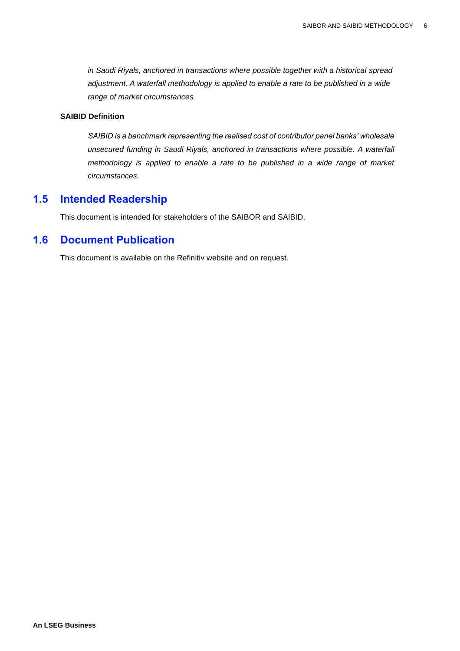*in Saudi Riyals, anchored in transactions where possible together with a historical spread adjustment. A waterfall methodology is applied to enable a rate to be published in a wide range of market circumstances.*

#### **SAIBID Definition**

*SAIBID is a benchmark representing the realised cost of contributor panel banks' wholesale unsecured funding in Saudi Riyals, anchored in transactions where possible. A waterfall methodology is applied to enable a rate to be published in a wide range of market circumstances.*

#### <span id="page-5-0"></span>**1.5 Intended Readership**

This document is intended for stakeholders of the SAIBOR and SAIBID.

#### <span id="page-5-1"></span>**1.6 Document Publication**

This document is available on the Refinitiv website and on request.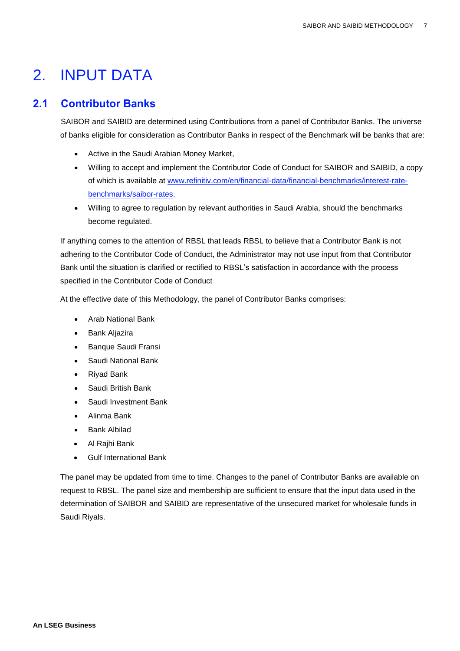# <span id="page-6-0"></span>2. INPUT DATA

### <span id="page-6-1"></span>**2.1 Contributor Banks**

SAIBOR and SAIBID are determined using Contributions from a panel of Contributor Banks. The universe of banks eligible for consideration as Contributor Banks in respect of the Benchmark will be banks that are:

- Active in the Saudi Arabian Money Market,
- Willing to accept and implement the Contributor Code of Conduct for SAIBOR and SAIBID, a copy of which is available at [www.refinitiv.com/en/financial-data/financial-benchmarks/interest-rate](http://www.refinitiv.com/en/financial-data/financial-benchmarks/interest-rate-benchmarks/saibor-rates)[benchmarks/saibor-rates,](http://www.refinitiv.com/en/financial-data/financial-benchmarks/interest-rate-benchmarks/saibor-rates)
- Willing to agree to regulation by relevant authorities in Saudi Arabia, should the benchmarks become regulated.

If anything comes to the attention of RBSL that leads RBSL to believe that a Contributor Bank is not adhering to the Contributor Code of Conduct, the Administrator may not use input from that Contributor Bank until the situation is clarified or rectified to RBSL's satisfaction in accordance with the process specified in the Contributor Code of Conduct

At the effective date of this Methodology, the panel of Contributor Banks comprises:

- Arab National Bank
- Bank Aljazira
- Banque Saudi Fransi
- Saudi National Bank
- Riyad Bank
- Saudi British Bank
- Saudi Investment Bank
- Alinma Bank
- Bank Albilad
- Al Rajhi Bank
- Gulf International Bank

The panel may be updated from time to time. Changes to the panel of Contributor Banks are available on request to RBSL. The panel size and membership are sufficient to ensure that the input data used in the determination of SAIBOR and SAIBID are representative of the unsecured market for wholesale funds in Saudi Riyals.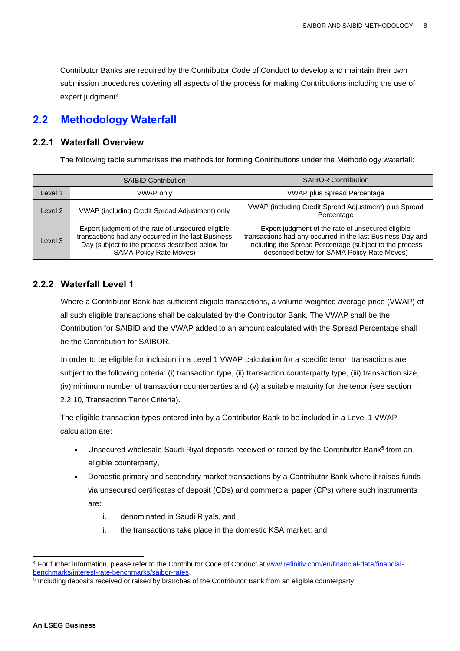Contributor Banks are required by the Contributor Code of Conduct to develop and maintain their own submission procedures covering all aspects of the process for making Contributions including the use of expert judgment<sup>4</sup> .

### <span id="page-7-0"></span>**2.2 Methodology Waterfall**

#### <span id="page-7-1"></span>**2.2.1 Waterfall Overview**

The following table summarises the methods for forming Contributions under the Methodology waterfall:

|         | <b>SAIBID Contribution</b>                                                                                                                                                                   | <b>SAIBOR Contribution</b>                                                                                                                                                                                                |
|---------|----------------------------------------------------------------------------------------------------------------------------------------------------------------------------------------------|---------------------------------------------------------------------------------------------------------------------------------------------------------------------------------------------------------------------------|
| Level 1 | <b>VWAP only</b>                                                                                                                                                                             | <b>VWAP plus Spread Percentage</b>                                                                                                                                                                                        |
| Level 2 | VWAP (including Credit Spread Adjustment) only                                                                                                                                               | VWAP (including Credit Spread Adjustment) plus Spread<br>Percentage                                                                                                                                                       |
| Level 3 | Expert judgment of the rate of unsecured eligible<br>transactions had any occurred in the last Business<br>Day (subject to the process described below for<br><b>SAMA Policy Rate Moves)</b> | Expert judgment of the rate of unsecured eligible<br>transactions had any occurred in the last Business Day and<br>including the Spread Percentage (subject to the process<br>described below for SAMA Policy Rate Moves) |

#### <span id="page-7-2"></span>**2.2.2 Waterfall Level 1**

Where a Contributor Bank has sufficient eligible transactions, a volume weighted average price (VWAP) of all such eligible transactions shall be calculated by the Contributor Bank. The VWAP shall be the Contribution for SAIBID and the VWAP added to an amount calculated with the Spread Percentage shall be the Contribution for SAIBOR.

In order to be eligible for inclusion in a Level 1 VWAP calculation for a specific tenor, transactions are subject to the following criteria: (i) transaction type, (ii) transaction counterparty type, (iii) transaction size, (iv) minimum number of transaction counterparties and (v) a suitable maturity for the tenor (see section 2.2.10, Transaction Tenor Criteria).

The eligible transaction types entered into by a Contributor Bank to be included in a Level 1 VWAP calculation are:

- Unsecured wholesale Saudi Riyal deposits received or raised by the Contributor Bank<sup>5</sup> from an eligible counterparty,
- Domestic primary and secondary market transactions by a Contributor Bank where it raises funds via unsecured certificates of deposit (CDs) and commercial paper (CPs) where such instruments are:
	- i. denominated in Saudi Riyals, and
	- ii. the transactions take place in the domestic KSA market; and

<sup>4</sup> For further information, please refer to the Contributor Code of Conduct at [www.refinitiv.com/en/financial-data/financial](http://www.refinitiv.com/en/financial-data/financial-benchmarks/interest-rate-benchmarks/saibor-rates)[benchmarks/interest-rate-benchmarks/saibor-rates.](http://www.refinitiv.com/en/financial-data/financial-benchmarks/interest-rate-benchmarks/saibor-rates)

<sup>&</sup>lt;sup>5</sup> Including deposits received or raised by branches of the Contributor Bank from an eligible counterparty.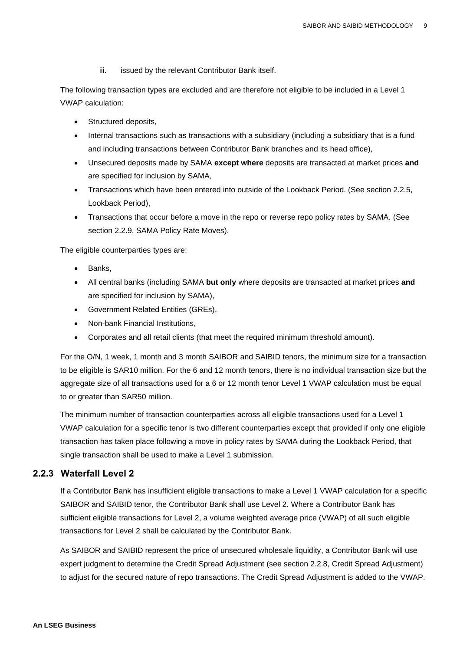iii. issued by the relevant Contributor Bank itself.

The following transaction types are excluded and are therefore not eligible to be included in a Level 1 VWAP calculation:

- Structured deposits,
- Internal transactions such as transactions with a subsidiary (including a subsidiary that is a fund and including transactions between Contributor Bank branches and its head office),
- Unsecured deposits made by SAMA **except where** deposits are transacted at market prices **and** are specified for inclusion by SAMA,
- Transactions which have been entered into outside of the Lookback Period. (See section 2.2.5, Lookback Period),
- Transactions that occur before a move in the repo or reverse repo policy rates by SAMA. (See section 2.2.9, SAMA Policy Rate Moves).

The eligible counterparties types are:

- Banks.
- All central banks (including SAMA **but only** where deposits are transacted at market prices **and** are specified for inclusion by SAMA),
- Government Related Entities (GREs),
- Non-bank Financial Institutions,
- Corporates and all retail clients (that meet the required minimum threshold amount).

For the O/N, 1 week, 1 month and 3 month SAIBOR and SAIBID tenors, the minimum size for a transaction to be eligible is SAR10 million. For the 6 and 12 month tenors, there is no individual transaction size but the aggregate size of all transactions used for a 6 or 12 month tenor Level 1 VWAP calculation must be equal to or greater than SAR50 million.

The minimum number of transaction counterparties across all eligible transactions used for a Level 1 VWAP calculation for a specific tenor is two different counterparties except that provided if only one eligible transaction has taken place following a move in policy rates by SAMA during the Lookback Period, that single transaction shall be used to make a Level 1 submission.

#### <span id="page-8-0"></span>**2.2.3 Waterfall Level 2**

If a Contributor Bank has insufficient eligible transactions to make a Level 1 VWAP calculation for a specific SAIBOR and SAIBID tenor, the Contributor Bank shall use Level 2. Where a Contributor Bank has sufficient eligible transactions for Level 2, a volume weighted average price (VWAP) of all such eligible transactions for Level 2 shall be calculated by the Contributor Bank.

As SAIBOR and SAIBID represent the price of unsecured wholesale liquidity, a Contributor Bank will use expert judgment to determine the Credit Spread Adjustment (see section 2.2.8, Credit Spread Adjustment) to adjust for the secured nature of repo transactions. The Credit Spread Adjustment is added to the VWAP.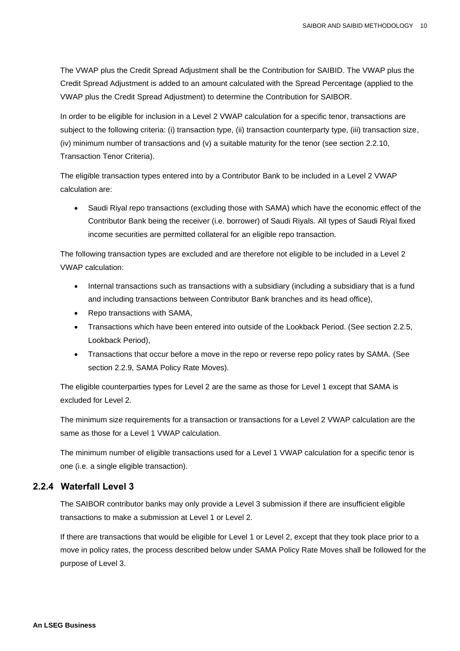The VWAP plus the Credit Spread Adjustment shall be the Contribution for SAIBID. The VWAP plus the Credit Spread Adjustment is added to an amount calculated with the Spread Percentage (applied to the VWAP plus the Credit Spread Adjustment) to determine the Contribution for SAIBOR.

In order to be eligible for inclusion in a Level 2 VWAP calculation for a specific tenor, transactions are subject to the following criteria: (i) transaction type, (ii) transaction counterparty type, (iii) transaction size, (iv) minimum number of transactions and (v) a suitable maturity for the tenor (see section 2.2.10, Transaction Tenor Criteria).

The eligible transaction types entered into by a Contributor Bank to be included in a Level 2 VWAP calculation are:

• Saudi Riyal repo transactions (excluding those with SAMA) which have the economic effect of the Contributor Bank being the receiver (i.e. borrower) of Saudi Riyals. All types of Saudi Riyal fixed income securities are permitted collateral for an eligible repo transaction.

The following transaction types are excluded and are therefore not eligible to be included in a Level 2 VWAP calculation:

- Internal transactions such as transactions with a subsidiary (including a subsidiary that is a fund and including transactions between Contributor Bank branches and its head office),
- Repo transactions with SAMA,
- Transactions which have been entered into outside of the Lookback Period. (See section 2.2.5, Lookback Period),
- Transactions that occur before a move in the repo or reverse repo policy rates by SAMA. (See section 2.2.9, SAMA Policy Rate Moves).

The eligible counterparties types for Level 2 are the same as those for Level 1 except that SAMA is excluded for Level 2.

The minimum size requirements for a transaction or transactions for a Level 2 VWAP calculation are the same as those for a Level 1 VWAP calculation.

The minimum number of eligible transactions used for a Level 1 VWAP calculation for a specific tenor is one (i.e. a single eligible transaction).

#### <span id="page-9-0"></span>**2.2.4 Waterfall Level 3**

The SAIBOR contributor banks may only provide a Level 3 submission if there are insufficient eligible transactions to make a submission at Level 1 or Level 2.

If there are transactions that would be eligible for Level 1 or Level 2, except that they took place prior to a move in policy rates, the process described below under SAMA Policy Rate Moves shall be followed for the purpose of Level 3.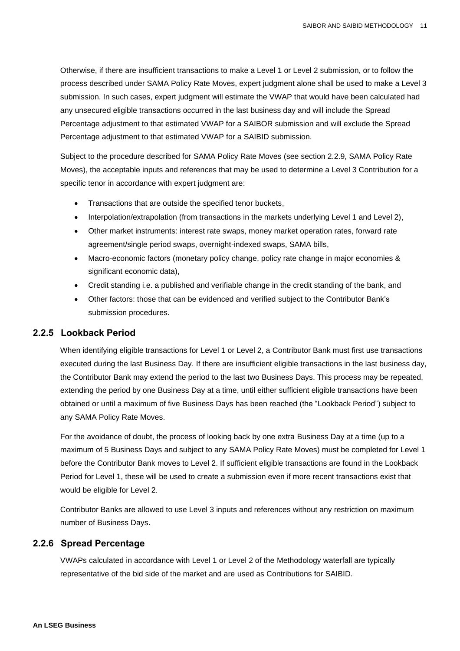Otherwise, if there are insufficient transactions to make a Level 1 or Level 2 submission, or to follow the process described under SAMA Policy Rate Moves, expert judgment alone shall be used to make a Level 3 submission. In such cases, expert judgment will estimate the VWAP that would have been calculated had any unsecured eligible transactions occurred in the last business day and will include the Spread Percentage adjustment to that estimated VWAP for a SAIBOR submission and will exclude the Spread Percentage adjustment to that estimated VWAP for a SAIBID submission.

Subject to the procedure described for SAMA Policy Rate Moves (see section 2.2.9, SAMA Policy Rate Moves), the acceptable inputs and references that may be used to determine a Level 3 Contribution for a specific tenor in accordance with expert judgment are:

- Transactions that are outside the specified tenor buckets,
- Interpolation/extrapolation (from transactions in the markets underlying Level 1 and Level 2),
- Other market instruments: interest rate swaps, money market operation rates, forward rate agreement/single period swaps, overnight-indexed swaps, SAMA bills,
- Macro-economic factors (monetary policy change, policy rate change in major economies & significant economic data),
- Credit standing i.e. a published and verifiable change in the credit standing of the bank, and
- Other factors: those that can be evidenced and verified subject to the Contributor Bank's submission procedures.

#### <span id="page-10-0"></span>**2.2.5 Lookback Period**

When identifying eligible transactions for Level 1 or Level 2, a Contributor Bank must first use transactions executed during the last Business Day. If there are insufficient eligible transactions in the last business day, the Contributor Bank may extend the period to the last two Business Days. This process may be repeated, extending the period by one Business Day at a time, until either sufficient eligible transactions have been obtained or until a maximum of five Business Days has been reached (the "Lookback Period") subject to any SAMA Policy Rate Moves.

For the avoidance of doubt, the process of looking back by one extra Business Day at a time (up to a maximum of 5 Business Days and subject to any SAMA Policy Rate Moves) must be completed for Level 1 before the Contributor Bank moves to Level 2. If sufficient eligible transactions are found in the Lookback Period for Level 1, these will be used to create a submission even if more recent transactions exist that would be eligible for Level 2.

Contributor Banks are allowed to use Level 3 inputs and references without any restriction on maximum number of Business Days.

#### <span id="page-10-1"></span>**2.2.6 Spread Percentage**

VWAPs calculated in accordance with Level 1 or Level 2 of the Methodology waterfall are typically representative of the bid side of the market and are used as Contributions for SAIBID.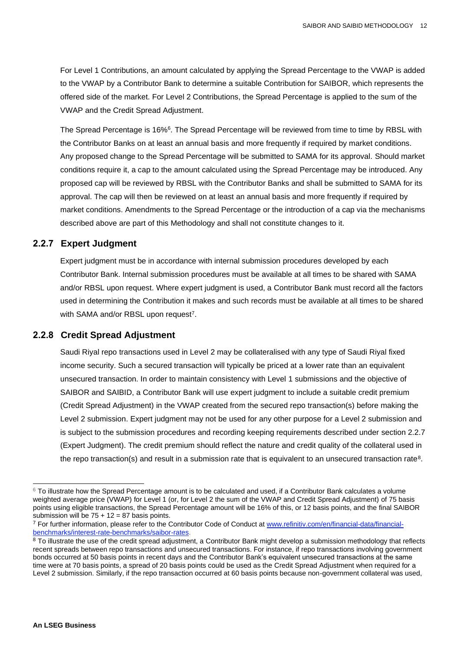For Level 1 Contributions, an amount calculated by applying the Spread Percentage to the VWAP is added to the VWAP by a Contributor Bank to determine a suitable Contribution for SAIBOR, which represents the offered side of the market. For Level 2 Contributions, the Spread Percentage is applied to the sum of the VWAP and the Credit Spread Adjustment.

The Spread Percentage is 16%<sup>6</sup>. The Spread Percentage will be reviewed from time to time by RBSL with the Contributor Banks on at least an annual basis and more frequently if required by market conditions. Any proposed change to the Spread Percentage will be submitted to SAMA for its approval. Should market conditions require it, a cap to the amount calculated using the Spread Percentage may be introduced. Any proposed cap will be reviewed by RBSL with the Contributor Banks and shall be submitted to SAMA for its approval. The cap will then be reviewed on at least an annual basis and more frequently if required by market conditions. Amendments to the Spread Percentage or the introduction of a cap via the mechanisms described above are part of this Methodology and shall not constitute changes to it.

#### <span id="page-11-0"></span>**2.2.7 Expert Judgment**

Expert judgment must be in accordance with internal submission procedures developed by each Contributor Bank. Internal submission procedures must be available at all times to be shared with SAMA and/or RBSL upon request. Where expert judgment is used, a Contributor Bank must record all the factors used in determining the Contribution it makes and such records must be available at all times to be shared with SAMA and/or RBSL upon request<sup>7</sup>.

#### <span id="page-11-1"></span>**2.2.8 Credit Spread Adjustment**

Saudi Riyal repo transactions used in Level 2 may be collateralised with any type of Saudi Riyal fixed income security. Such a secured transaction will typically be priced at a lower rate than an equivalent unsecured transaction. In order to maintain consistency with Level 1 submissions and the objective of SAIBOR and SAIBID, a Contributor Bank will use expert judgment to include a suitable credit premium (Credit Spread Adjustment) in the VWAP created from the secured repo transaction(s) before making the Level 2 submission. Expert judgment may not be used for any other purpose for a Level 2 submission and is subject to the submission procedures and recording keeping requirements described under section 2.2.7 (Expert Judgment). The credit premium should reflect the nature and credit quality of the collateral used in the repo transaction(s) and result in a submission rate that is equivalent to an unsecured transaction rate<sup>8</sup>.

 $6$  To illustrate how the Spread Percentage amount is to be calculated and used, if a Contributor Bank calculates a volume weighted average price (VWAP) for Level 1 (or, for Level 2 the sum of the VWAP and Credit Spread Adjustment) of 75 basis points using eligible transactions, the Spread Percentage amount will be 16% of this, or 12 basis points, and the final SAIBOR submission will be  $75 + 12 = 87$  basis points.

<sup>&</sup>lt;sup>7</sup> For further information, please refer to the Contributor Code of Conduct at [www.refinitiv.com/en/financial-data/financial](http://www.refinitiv.com/en/financial-data/financial-benchmarks/interest-rate-benchmarks/saibor-rates)[benchmarks/interest-rate-benchmarks/saibor-rates.](http://www.refinitiv.com/en/financial-data/financial-benchmarks/interest-rate-benchmarks/saibor-rates)

<sup>&</sup>lt;sup>8</sup> To illustrate the use of the credit spread adjustment, a Contributor Bank might develop a submission methodology that reflects recent spreads between repo transactions and unsecured transactions. For instance, if repo transactions involving government bonds occurred at 50 basis points in recent days and the Contributor Bank's equivalent unsecured transactions at the same time were at 70 basis points, a spread of 20 basis points could be used as the Credit Spread Adjustment when required for a Level 2 submission. Similarly, if the repo transaction occurred at 60 basis points because non-government collateral was used,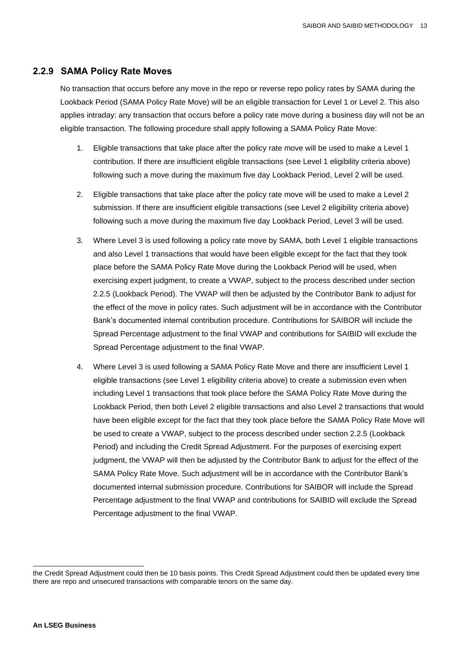#### <span id="page-12-0"></span>**2.2.9 SAMA Policy Rate Moves**

No transaction that occurs before any move in the repo or reverse repo policy rates by SAMA during the Lookback Period (SAMA Policy Rate Move) will be an eligible transaction for Level 1 or Level 2. This also applies intraday: any transaction that occurs before a policy rate move during a business day will not be an eligible transaction. The following procedure shall apply following a SAMA Policy Rate Move:

- 1. Eligible transactions that take place after the policy rate move will be used to make a Level 1 contribution. If there are insufficient eligible transactions (see Level 1 eligibility criteria above) following such a move during the maximum five day Lookback Period, Level 2 will be used.
- 2. Eligible transactions that take place after the policy rate move will be used to make a Level 2 submission. If there are insufficient eligible transactions (see Level 2 eligibility criteria above) following such a move during the maximum five day Lookback Period, Level 3 will be used.
- 3. Where Level 3 is used following a policy rate move by SAMA, both Level 1 eligible transactions and also Level 1 transactions that would have been eligible except for the fact that they took place before the SAMA Policy Rate Move during the Lookback Period will be used, when exercising expert judgment, to create a VWAP, subject to the process described under section 2.2.5 (Lookback Period). The VWAP will then be adjusted by the Contributor Bank to adjust for the effect of the move in policy rates. Such adjustment will be in accordance with the Contributor Bank's documented internal contribution procedure. Contributions for SAIBOR will include the Spread Percentage adjustment to the final VWAP and contributions for SAIBID will exclude the Spread Percentage adjustment to the final VWAP.
- 4. Where Level 3 is used following a SAMA Policy Rate Move and there are insufficient Level 1 eligible transactions (see Level 1 eligibility criteria above) to create a submission even when including Level 1 transactions that took place before the SAMA Policy Rate Move during the Lookback Period, then both Level 2 eligible transactions and also Level 2 transactions that would have been eligible except for the fact that they took place before the SAMA Policy Rate Move will be used to create a VWAP, subject to the process described under section 2.2.5 (Lookback Period) and including the Credit Spread Adjustment. For the purposes of exercising expert judgment, the VWAP will then be adjusted by the Contributor Bank to adjust for the effect of the SAMA Policy Rate Move. Such adjustment will be in accordance with the Contributor Bank's documented internal submission procedure. Contributions for SAIBOR will include the Spread Percentage adjustment to the final VWAP and contributions for SAIBID will exclude the Spread Percentage adjustment to the final VWAP.

the Credit Spread Adjustment could then be 10 basis points. This Credit Spread Adjustment could then be updated every time there are repo and unsecured transactions with comparable tenors on the same day.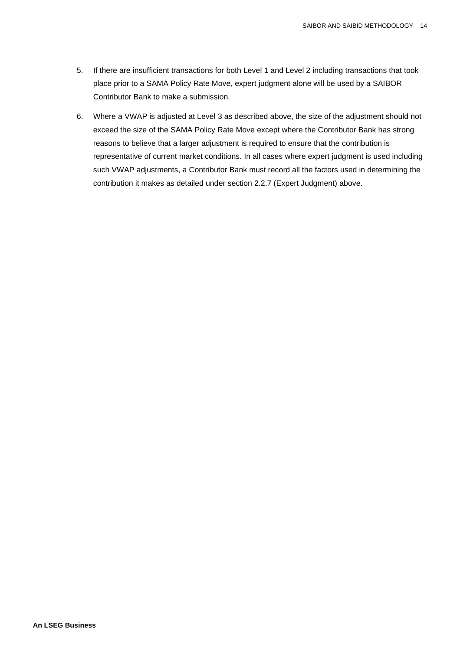- 5. If there are insufficient transactions for both Level 1 and Level 2 including transactions that took place prior to a SAMA Policy Rate Move, expert judgment alone will be used by a SAIBOR Contributor Bank to make a submission.
- 6. Where a VWAP is adjusted at Level 3 as described above, the size of the adjustment should not exceed the size of the SAMA Policy Rate Move except where the Contributor Bank has strong reasons to believe that a larger adjustment is required to ensure that the contribution is representative of current market conditions. In all cases where expert judgment is used including such VWAP adjustments, a Contributor Bank must record all the factors used in determining the contribution it makes as detailed under section 2.2.7 (Expert Judgment) above.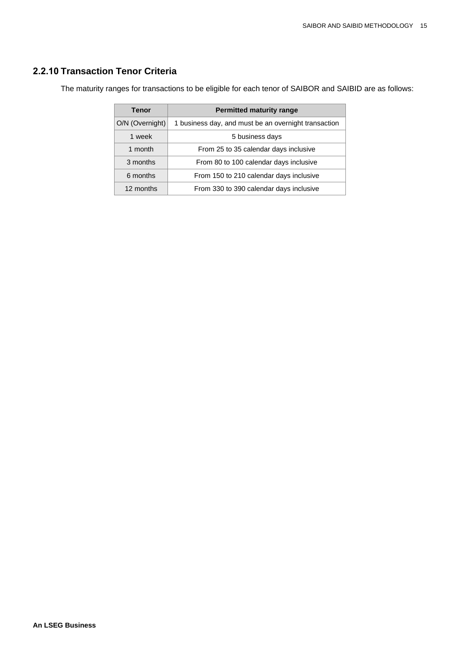#### <span id="page-14-0"></span>**2.2.10 Transaction Tenor Criteria**

The maturity ranges for transactions to be eligible for each tenor of SAIBOR and SAIBID are as follows:

| Tenor           | <b>Permitted maturity range</b>                      |  |
|-----------------|------------------------------------------------------|--|
| O/N (Overnight) | 1 business day, and must be an overnight transaction |  |
| 1 week          | 5 business days                                      |  |
| 1 month         | From 25 to 35 calendar days inclusive                |  |
| 3 months        | From 80 to 100 calendar days inclusive               |  |
| 6 months        | From 150 to 210 calendar days inclusive              |  |
| 12 months       | From 330 to 390 calendar days inclusive              |  |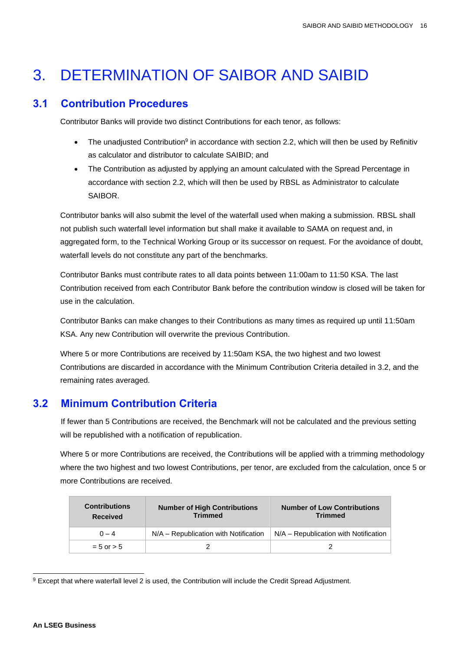# <span id="page-15-0"></span>3. DETERMINATION OF SAIBOR AND SAIBID

### <span id="page-15-1"></span>**3.1 Contribution Procedures**

Contributor Banks will provide two distinct Contributions for each tenor, as follows:

- The unadjusted Contribution<sup>9</sup> in accordance with section 2.2, which will then be used by Refinitiv as calculator and distributor to calculate SAIBID; and
- The Contribution as adjusted by applying an amount calculated with the Spread Percentage in accordance with section 2.2, which will then be used by RBSL as Administrator to calculate SAIBOR.

Contributor banks will also submit the level of the waterfall used when making a submission. RBSL shall not publish such waterfall level information but shall make it available to SAMA on request and, in aggregated form, to the Technical Working Group or its successor on request. For the avoidance of doubt, waterfall levels do not constitute any part of the benchmarks.

Contributor Banks must contribute rates to all data points between 11:00am to 11:50 KSA. The last Contribution received from each Contributor Bank before the contribution window is closed will be taken for use in the calculation.

Contributor Banks can make changes to their Contributions as many times as required up until 11:50am KSA. Any new Contribution will overwrite the previous Contribution.

Where 5 or more Contributions are received by 11:50am KSA, the two highest and two lowest Contributions are discarded in accordance with the Minimum Contribution Criteria detailed in 3.2, and the remaining rates averaged.

# <span id="page-15-2"></span>**3.2 Minimum Contribution Criteria**

If fewer than 5 Contributions are received, the Benchmark will not be calculated and the previous setting will be republished with a notification of republication.

Where 5 or more Contributions are received, the Contributions will be applied with a trimming methodology where the two highest and two lowest Contributions, per tenor, are excluded from the calculation, once 5 or more Contributions are received.

| <b>Contributions</b><br><b>Received</b> | <b>Number of High Contributions</b><br><b>Trimmed</b> | <b>Number of Low Contributions</b><br><b>Trimmed</b> |
|-----------------------------------------|-------------------------------------------------------|------------------------------------------------------|
| $0 - 4$                                 | N/A – Republication with Notification                 | N/A - Republication with Notification                |
| $= 5$ or $> 5$                          |                                                       |                                                      |

<sup>9</sup> Except that where waterfall level 2 is used, the Contribution will include the Credit Spread Adjustment.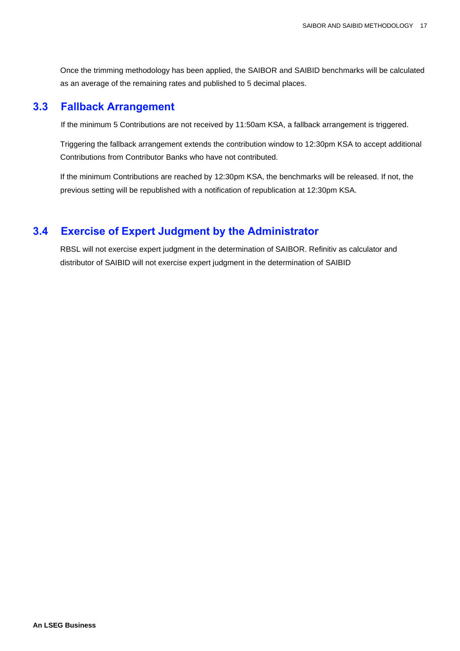Once the trimming methodology has been applied, the SAIBOR and SAIBID benchmarks will be calculated as an average of the remaining rates and published to 5 decimal places.

#### <span id="page-16-0"></span>**3.3 Fallback Arrangement**

If the minimum 5 Contributions are not received by 11:50am KSA, a fallback arrangement is triggered.

Triggering the fallback arrangement extends the contribution window to 12:30pm KSA to accept additional Contributions from Contributor Banks who have not contributed.

If the minimum Contributions are reached by 12:30pm KSA, the benchmarks will be released. If not, the previous setting will be republished with a notification of republication at 12:30pm KSA.

### <span id="page-16-1"></span>**3.4 Exercise of Expert Judgment by the Administrator**

RBSL will not exercise expert judgment in the determination of SAIBOR. Refinitiv as calculator and distributor of SAIBID will not exercise expert judgment in the determination of SAIBID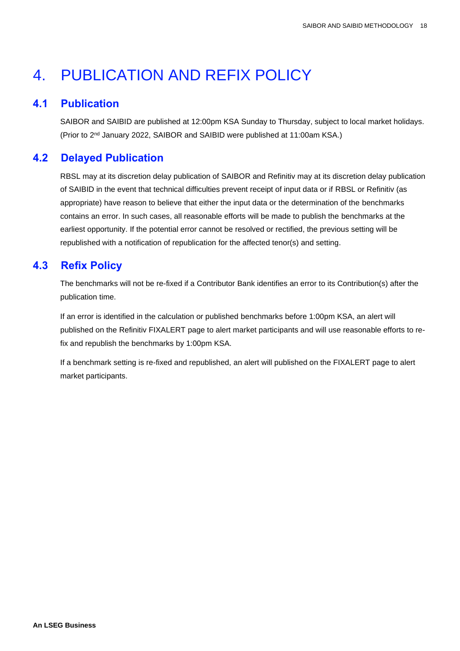# <span id="page-17-0"></span>4. PUBLICATION AND REFIX POLICY

### <span id="page-17-1"></span>**4.1 Publication**

SAIBOR and SAIBID are published at 12:00pm KSA Sunday to Thursday, subject to local market holidays. (Prior to 2nd January 2022, SAIBOR and SAIBID were published at 11:00am KSA.)

# <span id="page-17-2"></span>**4.2 Delayed Publication**

RBSL may at its discretion delay publication of SAIBOR and Refinitiv may at its discretion delay publication of SAIBID in the event that technical difficulties prevent receipt of input data or if RBSL or Refinitiv (as appropriate) have reason to believe that either the input data or the determination of the benchmarks contains an error. In such cases, all reasonable efforts will be made to publish the benchmarks at the earliest opportunity. If the potential error cannot be resolved or rectified, the previous setting will be republished with a notification of republication for the affected tenor(s) and setting.

# <span id="page-17-3"></span>**4.3 Refix Policy**

The benchmarks will not be re-fixed if a Contributor Bank identifies an error to its Contribution(s) after the publication time.

If an error is identified in the calculation or published benchmarks before 1:00pm KSA, an alert will published on the Refinitiv FIXALERT page to alert market participants and will use reasonable efforts to refix and republish the benchmarks by 1:00pm KSA.

If a benchmark setting is re-fixed and republished, an alert will published on the FIXALERT page to alert market participants.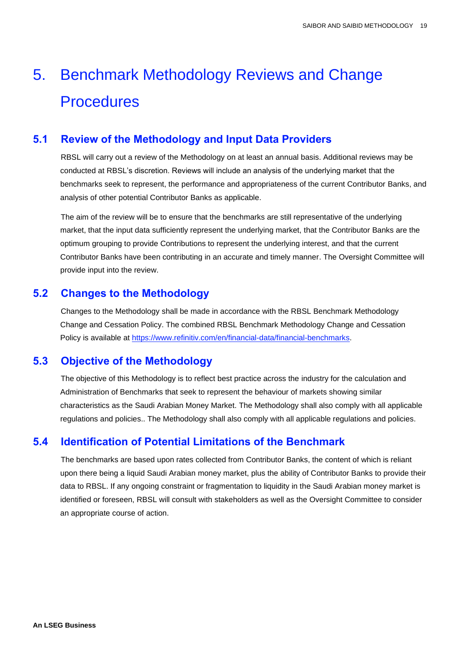# <span id="page-18-0"></span>5. Benchmark Methodology Reviews and Change **Procedures**

### <span id="page-18-1"></span>**5.1 Review of the Methodology and Input Data Providers**

RBSL will carry out a review of the Methodology on at least an annual basis. Additional reviews may be conducted at RBSL's discretion. Reviews will include an analysis of the underlying market that the benchmarks seek to represent, the performance and appropriateness of the current Contributor Banks, and analysis of other potential Contributor Banks as applicable.

The aim of the review will be to ensure that the benchmarks are still representative of the underlying market, that the input data sufficiently represent the underlying market, that the Contributor Banks are the optimum grouping to provide Contributions to represent the underlying interest, and that the current Contributor Banks have been contributing in an accurate and timely manner. The Oversight Committee will provide input into the review.

### <span id="page-18-2"></span>**5.2 Changes to the Methodology**

Changes to the Methodology shall be made in accordance with the RBSL Benchmark Methodology Change and Cessation Policy. The combined RBSL Benchmark Methodology Change and Cessation Policy is available at [https://www.refinitiv.com/en/financial-data/financial-benchmarks.](https://www.refinitiv.com/en/financial-data/financial-benchmarks)

# <span id="page-18-3"></span>**5.3 Objective of the Methodology**

The objective of this Methodology is to reflect best practice across the industry for the calculation and Administration of Benchmarks that seek to represent the behaviour of markets showing similar characteristics as the Saudi Arabian Money Market. The Methodology shall also comply with all applicable regulations and policies.. The Methodology shall also comply with all applicable regulations and policies.

# <span id="page-18-4"></span>**5.4 Identification of Potential Limitations of the Benchmark**

The benchmarks are based upon rates collected from Contributor Banks, the content of which is reliant upon there being a liquid Saudi Arabian money market, plus the ability of Contributor Banks to provide their data to RBSL. If any ongoing constraint or fragmentation to liquidity in the Saudi Arabian money market is identified or foreseen, RBSL will consult with stakeholders as well as the Oversight Committee to consider an appropriate course of action.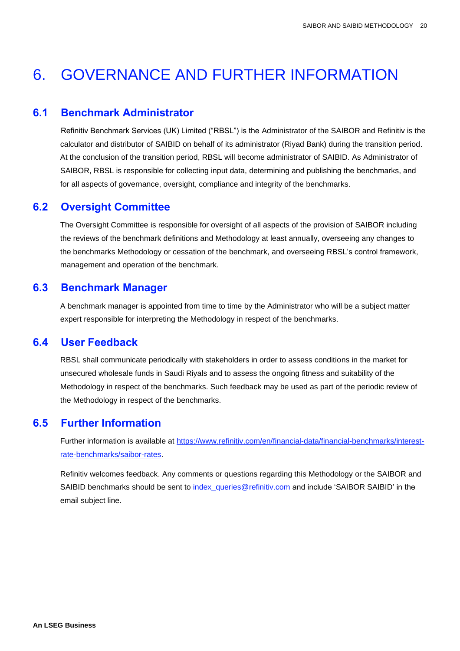# <span id="page-19-0"></span>6. GOVERNANCE AND FURTHER INFORMATION

#### <span id="page-19-1"></span>**6.1 Benchmark Administrator**

Refinitiv Benchmark Services (UK) Limited ("RBSL") is the Administrator of the SAIBOR and Refinitiv is the calculator and distributor of SAIBID on behalf of its administrator (Riyad Bank) during the transition period. At the conclusion of the transition period, RBSL will become administrator of SAIBID. As Administrator of SAIBOR, RBSL is responsible for collecting input data, determining and publishing the benchmarks, and for all aspects of governance, oversight, compliance and integrity of the benchmarks.

### <span id="page-19-2"></span>**6.2 Oversight Committee**

The Oversight Committee is responsible for oversight of all aspects of the provision of SAIBOR including the reviews of the benchmark definitions and Methodology at least annually, overseeing any changes to the benchmarks Methodology or cessation of the benchmark, and overseeing RBSL's control framework, management and operation of the benchmark.

#### <span id="page-19-3"></span>**6.3 Benchmark Manager**

A benchmark manager is appointed from time to time by the Administrator who will be a subject matter expert responsible for interpreting the Methodology in respect of the benchmarks.

### <span id="page-19-4"></span>**6.4 User Feedback**

RBSL shall communicate periodically with stakeholders in order to assess conditions in the market for unsecured wholesale funds in Saudi Riyals and to assess the ongoing fitness and suitability of the Methodology in respect of the benchmarks. Such feedback may be used as part of the periodic review of the Methodology in respect of the benchmarks.

### <span id="page-19-5"></span>**6.5 Further Information**

Further information is available at [https://www.refinitiv.com/en/financial-data/financial-benchmarks/interest](https://www.refinitiv.com/en/financial-data/financial-benchmarks/interest-rate-benchmarks/saibor-rates)[rate-benchmarks/saibor-rates.](https://www.refinitiv.com/en/financial-data/financial-benchmarks/interest-rate-benchmarks/saibor-rates)

Refinitiv welcomes feedback. Any comments or questions regarding this Methodology or the SAIBOR and SAIBID benchmarks should be sent to index queries@refinitiv.com and include 'SAIBOR SAIBID' in the email subject line.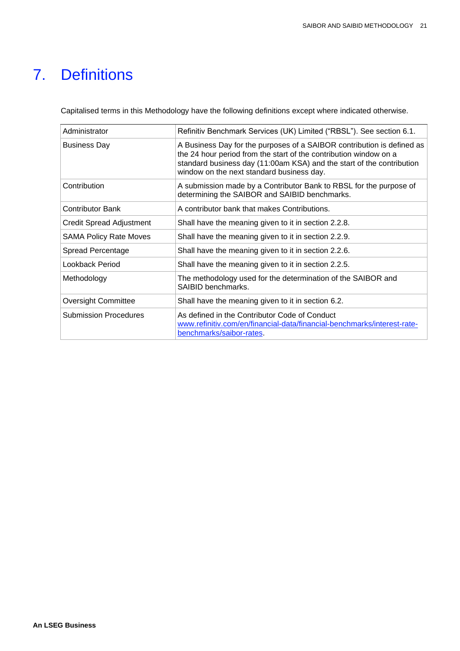# <span id="page-20-0"></span>7. Definitions

Capitalised terms in this Methodology have the following definitions except where indicated otherwise.

| Administrator                   | Refinitiv Benchmark Services (UK) Limited ("RBSL"). See section 6.1.                                                                                                                                                                                              |  |
|---------------------------------|-------------------------------------------------------------------------------------------------------------------------------------------------------------------------------------------------------------------------------------------------------------------|--|
| <b>Business Day</b>             | A Business Day for the purposes of a SAIBOR contribution is defined as<br>the 24 hour period from the start of the contribution window on a<br>standard business day (11:00am KSA) and the start of the contribution<br>window on the next standard business day. |  |
| Contribution                    | A submission made by a Contributor Bank to RBSL for the purpose of<br>determining the SAIBOR and SAIBID benchmarks.                                                                                                                                               |  |
| <b>Contributor Bank</b>         | A contributor bank that makes Contributions.                                                                                                                                                                                                                      |  |
| <b>Credit Spread Adjustment</b> | Shall have the meaning given to it in section 2.2.8.                                                                                                                                                                                                              |  |
| <b>SAMA Policy Rate Moves</b>   | Shall have the meaning given to it in section 2.2.9.                                                                                                                                                                                                              |  |
| <b>Spread Percentage</b>        | Shall have the meaning given to it in section 2.2.6.                                                                                                                                                                                                              |  |
| Lookback Period                 | Shall have the meaning given to it in section 2.2.5.                                                                                                                                                                                                              |  |
| Methodology                     | The methodology used for the determination of the SAIBOR and<br>SAIBID benchmarks.                                                                                                                                                                                |  |
| <b>Oversight Committee</b>      | Shall have the meaning given to it in section 6.2.                                                                                                                                                                                                                |  |
| <b>Submission Procedures</b>    | As defined in the Contributor Code of Conduct<br>www.refinitiv.com/en/financial-data/financial-benchmarks/interest-rate-<br>benchmarks/saibor-rates.                                                                                                              |  |